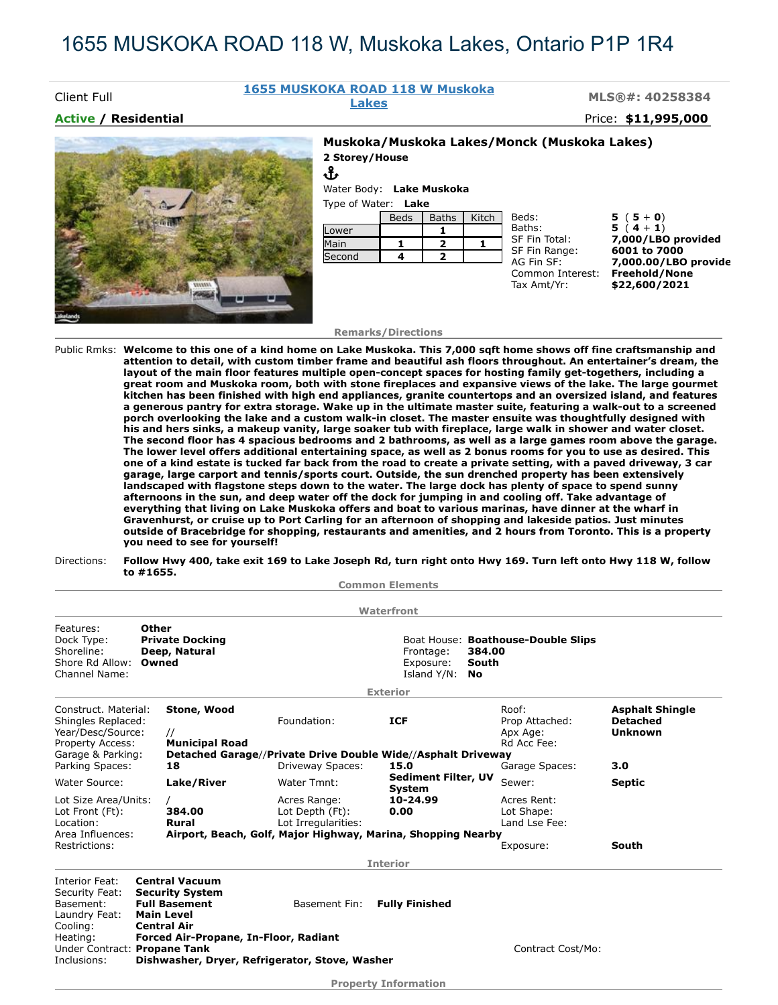# 1655 MUSKOKA ROAD 118 W, Muskoka Lakes, Ontario P1P 1R4

## **1655 MUSKOKA ROAD 118 W Muskoka**

**Lakes MLS®#: 40258384**

### **Active / Residential** Price: **\$11,995,000**

Client Full

#### **Muskoka/Muskoka Lakes/Monck (Muskoka Lakes) 2 Storey/House**



| ՎՆ                  |                          |
|---------------------|--------------------------|
|                     | Water Body: Lake Muskoka |
| Type of Water: Lake |                          |

|        | <b>Beds</b> | <b>Baths</b> | Kitch | Beds:            |  |
|--------|-------------|--------------|-------|------------------|--|
| Lower  |             |              |       | Baths:           |  |
| Main   |             |              |       | SF Fin           |  |
| Second |             |              |       | SF Fin<br>AG Fin |  |
|        |             |              |       | Comm             |  |

Tax Amt/Yr: **\$22,600/2021**

 $5(5+0)$  $5(4 + 1)$ Total: **7,000/LBO provided**<br>Range: **6001 to 7000** Range: **6001 to 7000**<br>SF: **7,000.00/LBC** AG Fin SF: **7,000.00/LBO provide** on Interest: Freehold/None

#### **Remarks/Directions**

Public Rmks: **Welcome to this one of a kind home on Lake Muskoka. This 7,000 sqft home shows off fine craftsmanship and attention to detail, with custom timber frame and beautiful ash floors throughout. An entertainer's dream, the layout of the main floor features multiple open-concept spaces for hosting family get-togethers, including a great room and Muskoka room, both with stone fireplaces and expansive views of the lake. The large gourmet kitchen has been finished with high end appliances, granite countertops and an oversized island, and features a generous pantry for extra storage. Wake up in the ultimate master suite, featuring a walk-out to a screened porch overlooking the lake and a custom walk-in closet. The master ensuite was thoughtfully designed with his and hers sinks, a makeup vanity, large soaker tub with fireplace, large walk in shower and water closet. The second floor has 4 spacious bedrooms and 2 bathrooms, as well as a large games room above the garage. The lower level offers additional entertaining space, as well as 2 bonus rooms for you to use as desired. This one of a kind estate is tucked far back from the road to create a private setting, with a paved driveway, 3 car garage, large carport and tennis/sports court. Outside, the sun drenched property has been extensively landscaped with flagstone steps down to the water. The large dock has plenty of space to spend sunny afternoons in the sun, and deep water off the dock for jumping in and cooling off. Take advantage of everything that living on Lake Muskoka offers and boat to various marinas, have dinner at the wharf in Gravenhurst, or cruise up to Port Carling for an afternoon of shopping and lakeside patios. Just minutes outside of Bracebridge for shopping, restaurants and amenities, and 2 hours from Toronto. This is a property you need to see for yourself!**

#### Directions: **Follow Hwy 400, take exit 169 to Lake Joseph Rd, turn right onto Hwy 169. Turn left onto Hwy 118 W, follow to #1655.**

**Common Elements**

|                                                                                                                                        |  |                                                                                                                    |                                                        | Waterfront                                                           |                                    |                                                    |                                                             |
|----------------------------------------------------------------------------------------------------------------------------------------|--|--------------------------------------------------------------------------------------------------------------------|--------------------------------------------------------|----------------------------------------------------------------------|------------------------------------|----------------------------------------------------|-------------------------------------------------------------|
| Other<br>Features:<br>Dock Type:<br><b>Private Docking</b><br>Shoreline:<br>Deep, Natural<br>Shore Rd Allow:<br>Owned<br>Channel Name: |  |                                                                                                                    | Frontage:<br>Exposure:<br>Island Y/N:                  | 384.00<br>South<br>No                                                | Boat House: Boathouse-Double Slips |                                                    |                                                             |
|                                                                                                                                        |  |                                                                                                                    |                                                        | <b>Exterior</b>                                                      |                                    |                                                    |                                                             |
| Construct. Material:<br>Shingles Replaced:<br>Year/Desc/Source:<br>Property Access:                                                    |  | Stone, Wood<br>$\prime\prime$<br><b>Municipal Road</b>                                                             | Foundation:                                            | <b>ICF</b>                                                           |                                    | Roof:<br>Prop Attached:<br>Apx Age:<br>Rd Acc Fee: | <b>Asphalt Shingle</b><br><b>Detached</b><br><b>Unknown</b> |
| Garage & Parking:<br>Parking Spaces:                                                                                                   |  | 18                                                                                                                 | Driveway Spaces:                                       | Detached Garage//Private Drive Double Wide//Asphalt Driveway<br>15.0 |                                    | Garage Spaces:                                     | 3.0                                                         |
| Water Source:                                                                                                                          |  | Lake/River                                                                                                         | Water Tmnt:                                            | <b>Sediment Filter, UV</b><br>System                                 |                                    | Sewer:                                             | <b>Septic</b>                                               |
| Lot Size Area/Units:<br>Lot Front (Ft):<br>384.00<br>Location:<br>Rural<br>Area Influences:<br>Restrictions:                           |  |                                                                                                                    | Acres Range:<br>Lot Depth (Ft):<br>Lot Irregularities: | 10-24.99<br>0.00                                                     |                                    | Acres Rent:<br>Lot Shape:<br>Land Lse Fee:         |                                                             |
|                                                                                                                                        |  | Airport, Beach, Golf, Major Highway, Marina, Shopping Nearby                                                       |                                                        |                                                                      | Exposure:                          | South                                              |                                                             |
|                                                                                                                                        |  |                                                                                                                    |                                                        | <b>Interior</b>                                                      |                                    |                                                    |                                                             |
| Interior Feat:<br>Security Feat:<br>Basement:<br>Laundry Feat:<br>Cooling:                                                             |  | <b>Central Vacuum</b><br><b>Security System</b><br><b>Full Basement</b><br><b>Main Level</b><br><b>Central Air</b> | Basement Fin:                                          | <b>Fully Finished</b>                                                |                                    |                                                    |                                                             |
| Heating:<br>Under Contract: Propane Tank<br>Inclusions:                                                                                |  | Forced Air-Propane, In-Floor, Radiant                                                                              | Dishwasher, Dryer, Refrigerator, Stove, Washer         |                                                                      |                                    | Contract Cost/Mo:                                  |                                                             |
|                                                                                                                                        |  |                                                                                                                    |                                                        | <b>Property Information</b>                                          |                                    |                                                    |                                                             |